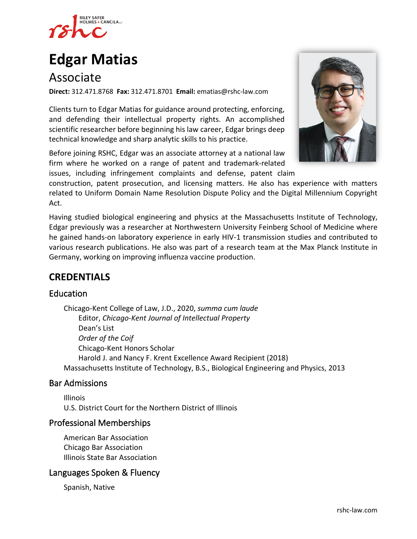

# **[Edgar Matias](https://www.rshc-law.com/attorneys/attorney/edgar-matias)**

# Associate

**Direct:** 312.471.8768 **Fax:** 312.471.8701 **Email:** ematias@rshc-law.com

Clients turn to Edgar Matias for guidance around protecting, enforcing, and defending their intellectual property rights. An accomplished scientific researcher before beginning his law career, Edgar brings deep technical knowledge and sharp analytic skills to his practice.

Before joining RSHC, Edgar was an associate attorney at a national law firm where he worked on a range of patent and trademark-related issues, including infringement complaints and defense, patent clai[m](https://www.rshc-law.com/attorneys/attorney/edgar-matias) 



construction, patent prosecution, and licensing matters. He also has experience with matters related to Uniform Domain Name Resolution Dispute Policy and the Digital Millennium Copyright Act.

Having studied biological engineering and physics at the Massachusetts Institute of Technology, Edgar previously was a researcher at Northwestern University Feinberg School of Medicine where he gained hands-on laboratory experience in early HIV-1 transmission studies and contributed to various research publications. He also was part of a research team at the Max Planck Institute in Germany, working on improving influenza vaccine production.

### **CREDENTIALS**

#### Education

Chicago-Kent College of Law, J.D., 2020, *summa cum laude* Editor, *Chicago-Kent Journal of Intellectual Property* Dean's List *Order of the Coif* Chicago-Kent Honors Scholar Harold J. and Nancy F. Krent Excellence Award Recipient (2018) Massachusetts Institute of Technology, B.S., Biological Engineering and Physics, 2013

#### Bar Admissions

Illinois U.S. District Court for the Northern District of Illinois

#### Professional Memberships

American Bar Association Chicago Bar Association Illinois State Bar Association

#### Languages Spoken & Fluency

Spanish, Native